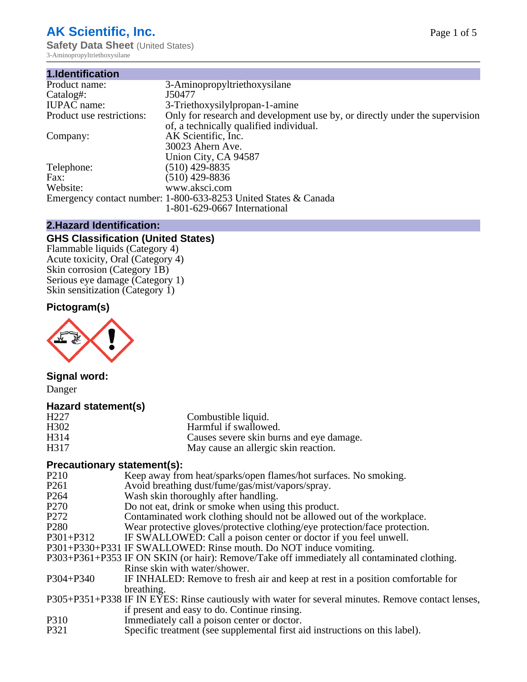# **AK Scientific, Inc.**

**Safety Data Sheet (United States)** 3-Aminopropyltriethoxysilane

| 1.Identification          |                                                                             |
|---------------------------|-----------------------------------------------------------------------------|
| Product name:             | 3-Aminopropyltriethoxysilane                                                |
| Catalog#:                 | J50477                                                                      |
| <b>IUPAC</b> name:        | 3-Triethoxysilylpropan-1-amine                                              |
| Product use restrictions: | Only for research and development use by, or directly under the supervision |
|                           | of, a technically qualified individual.                                     |
| Company:                  | AK Scientific, Inc.                                                         |
|                           | 30023 Ahern Ave.                                                            |
|                           | Union City, CA 94587                                                        |
| Telephone:                | $(510)$ 429-8835                                                            |
| Fax:                      | $(510)$ 429-8836                                                            |
| Website:                  | www.aksci.com                                                               |
|                           | Emergency contact number: 1-800-633-8253 United States & Canada             |
|                           | 1-801-629-0667 International                                                |

# **2.Hazard Identification:**

# **GHS Classification (United States)**

Flammable liquids (Category 4) Acute toxicity, Oral (Category 4) Skin corrosion (Category 1B) Serious eye damage (Category 1) Skin sensitization (Category 1)

# **Pictogram(s)**



# **Signal word:**

Danger

#### **Hazard statement(s)**

| H <sub>227</sub> | Combustible liquid.                      |
|------------------|------------------------------------------|
| H302             | Harmful if swallowed.                    |
| H314             | Causes severe skin burns and eye damage. |
| H317             | May cause an allergic skin reaction.     |

# **Precautionary statement(s):**

| P <sub>210</sub> | Keep away from heat/sparks/open flames/hot surfaces. No smoking.                                   |
|------------------|----------------------------------------------------------------------------------------------------|
| P <sub>261</sub> | Avoid breathing dust/fume/gas/mist/vapors/spray.                                                   |
| P <sub>264</sub> | Wash skin thoroughly after handling.                                                               |
| P <sub>270</sub> | Do not eat, drink or smoke when using this product.                                                |
| P <sub>272</sub> | Contaminated work clothing should not be allowed out of the workplace.                             |
| P <sub>280</sub> | Wear protective gloves/protective clothing/eye protection/face protection.                         |
| $P301 + P312$    | IF SWALLOWED: Call a poison center or doctor if you feel unwell.                                   |
|                  | P301+P330+P331 IF SWALLOWED: Rinse mouth. Do NOT induce vomiting.                                  |
|                  | P303+P361+P353 IF ON SKIN (or hair): Remove/Take off immediately all contaminated clothing.        |
|                  | Rinse skin with water/shower.                                                                      |
| $P304 + P340$    | IF INHALED: Remove to fresh air and keep at rest in a position comfortable for                     |
|                  | breathing.                                                                                         |
|                  | P305+P351+P338 IF IN EYES: Rinse cautiously with water for several minutes. Remove contact lenses, |
|                  | if present and easy to do. Continue rinsing.                                                       |
| P310             | Immediately call a poison center or doctor.                                                        |
| P321             | Specific treatment (see supplemental first aid instructions on this label).                        |
|                  |                                                                                                    |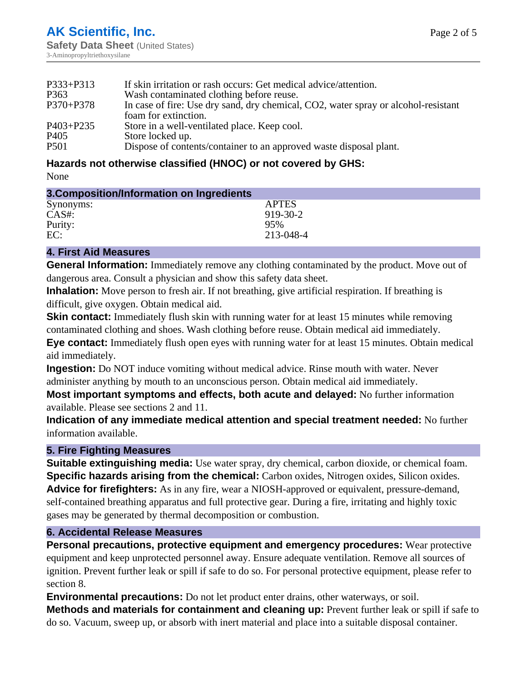| $P333 + P313$    | If skin irritation or rash occurs: Get medical advice/attention.                                           |
|------------------|------------------------------------------------------------------------------------------------------------|
| P363             | Wash contaminated clothing before reuse.                                                                   |
| P370+P378        | In case of fire: Use dry sand, dry chemical, CO2, water spray or alcohol-resistant<br>foam for extinction. |
| P403+P235        | Store in a well-ventilated place. Keep cool.                                                               |
| P <sub>405</sub> | Store locked up.                                                                                           |
| P <sub>501</sub> | Dispose of contents/container to an approved waste disposal plant.                                         |

# **Hazards not otherwise classified (HNOC) or not covered by GHS:**

None

| 3. Composition/Information on Ingredients |              |
|-------------------------------------------|--------------|
| Synonyms:                                 | <b>APTES</b> |
| $CAS#$ :                                  | 919-30-2     |
| Purity:                                   | 95%          |
| EC:                                       | 213-048-4    |
|                                           |              |

### **4. First Aid Measures**

**General Information:** Immediately remove any clothing contaminated by the product. Move out of dangerous area. Consult a physician and show this safety data sheet.

**Inhalation:** Move person to fresh air. If not breathing, give artificial respiration. If breathing is difficult, give oxygen. Obtain medical aid.

**Skin contact:** Immediately flush skin with running water for at least 15 minutes while removing contaminated clothing and shoes. Wash clothing before reuse. Obtain medical aid immediately.

**Eye contact:** Immediately flush open eyes with running water for at least 15 minutes. Obtain medical aid immediately.

**Ingestion:** Do NOT induce vomiting without medical advice. Rinse mouth with water. Never administer anything by mouth to an unconscious person. Obtain medical aid immediately.

**Most important symptoms and effects, both acute and delayed:** No further information available. Please see sections 2 and 11.

**Indication of any immediate medical attention and special treatment needed:** No further information available.

# **5. Fire Fighting Measures**

**Suitable extinguishing media:** Use water spray, dry chemical, carbon dioxide, or chemical foam. **Specific hazards arising from the chemical:** Carbon oxides, Nitrogen oxides, Silicon oxides. **Advice for firefighters:** As in any fire, wear a NIOSH-approved or equivalent, pressure-demand, self-contained breathing apparatus and full protective gear. During a fire, irritating and highly toxic gases may be generated by thermal decomposition or combustion.

# **6. Accidental Release Measures**

**Personal precautions, protective equipment and emergency procedures:** Wear protective equipment and keep unprotected personnel away. Ensure adequate ventilation. Remove all sources of ignition. Prevent further leak or spill if safe to do so. For personal protective equipment, please refer to section 8.

**Environmental precautions:** Do not let product enter drains, other waterways, or soil. **Methods and materials for containment and cleaning up:** Prevent further leak or spill if safe to do so. Vacuum, sweep up, or absorb with inert material and place into a suitable disposal container.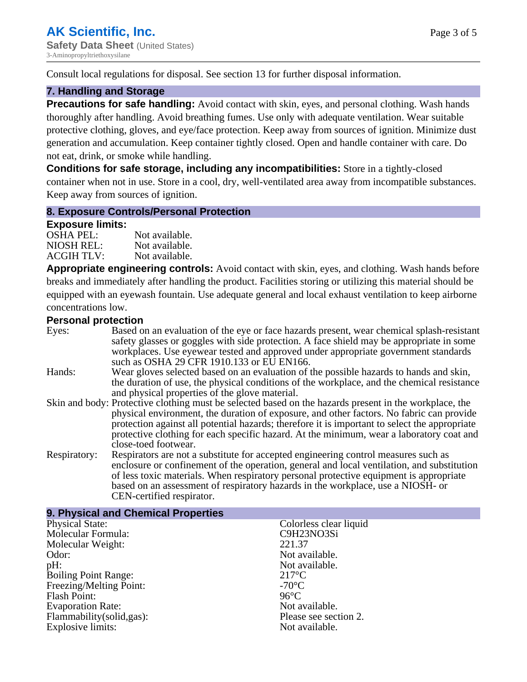Consult local regulations for disposal. See section 13 for further disposal information.

#### **7. Handling and Storage**

**Precautions for safe handling:** Avoid contact with skin, eyes, and personal clothing. Wash hands thoroughly after handling. Avoid breathing fumes. Use only with adequate ventilation. Wear suitable protective clothing, gloves, and eye/face protection. Keep away from sources of ignition. Minimize dust generation and accumulation. Keep container tightly closed. Open and handle container with care. Do not eat, drink, or smoke while handling.

**Conditions for safe storage, including any incompatibilities:** Store in a tightly-closed container when not in use. Store in a cool, dry, well-ventilated area away from incompatible substances. Keep away from sources of ignition.

#### **8. Exposure Controls/Personal Protection**

#### **Exposure limits:**

| $-1$<br><b>OSHA PEL:</b> | Not available. |
|--------------------------|----------------|
| NIOSH REL:               | Not available. |
| <b>ACGIH TLV:</b>        | Not available. |

**Appropriate engineering controls:** Avoid contact with skin, eyes, and clothing. Wash hands before breaks and immediately after handling the product. Facilities storing or utilizing this material should be equipped with an eyewash fountain. Use adequate general and local exhaust ventilation to keep airborne concentrations low.

#### **Personal protection**

| Eyes:        | Based on an evaluation of the eye or face hazards present, wear chemical splash-resistant<br>safety glasses or goggles with side protection. A face shield may be appropriate in some<br>workplaces. Use eyewear tested and approved under appropriate government standards<br>such as OSHA 29 CFR 1910.133 or EU EN166.                                                                                                |
|--------------|-------------------------------------------------------------------------------------------------------------------------------------------------------------------------------------------------------------------------------------------------------------------------------------------------------------------------------------------------------------------------------------------------------------------------|
| Hands:       | Wear gloves selected based on an evaluation of the possible hazards to hands and skin,<br>the duration of use, the physical conditions of the workplace, and the chemical resistance<br>and physical properties of the glove material.                                                                                                                                                                                  |
|              | Skin and body: Protective clothing must be selected based on the hazards present in the workplace, the<br>physical environment, the duration of exposure, and other factors. No fabric can provide<br>protection against all potential hazards; therefore it is important to select the appropriate<br>protective clothing for each specific hazard. At the minimum, wear a laboratory coat and<br>close-toed footwear. |
| Respiratory: | Respirators are not a substitute for accepted engineering control measures such as<br>enclosure or confinement of the operation, general and local ventilation, and substitution<br>of less toxic materials. When respiratory personal protective equipment is appropriate<br>based on an assessment of respiratory hazards in the workplace, use a NIOSH- or<br>CEN-certified respirator.                              |

| 9. Physical and Chemical Properties |                        |
|-------------------------------------|------------------------|
| <b>Physical State:</b>              | Colorless clear liquid |
| Molecular Formula:                  | C9H23NO3Si             |
| Molecular Weight:                   | 221.37                 |
| Odor:                               | Not available.         |
| $pH$ :                              | Not available.         |
| <b>Boiling Point Range:</b>         | $217^{\circ}$ C        |
| Freezing/Melting Point:             | $-70^{\circ}$ C        |
| Flash Point:                        | $96^{\circ}$ C         |
| <b>Evaporation Rate:</b>            | Not available.         |
| Flammability (solid, gas):          | Please see section 2.  |
| Explosive limits:                   | Not available.         |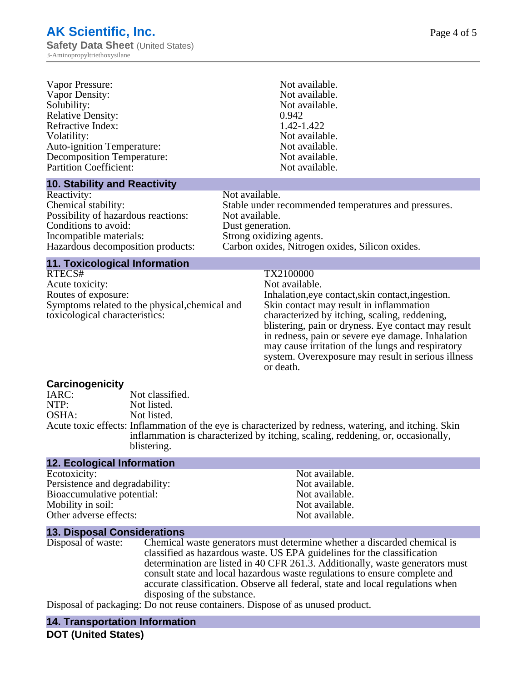| Vapor Pressure:                   | Not available. |
|-----------------------------------|----------------|
| Vapor Density:                    | Not available. |
| Solubility:                       | Not available. |
| <b>Relative Density:</b>          | 0.942          |
| Refractive Index:                 | 1.42-1.422     |
| Volatility:                       | Not available. |
| <b>Auto-ignition Temperature:</b> | Not available. |
| <b>Decomposition Temperature:</b> | Not available. |
| <b>Partition Coefficient:</b>     | Not available. |
|                                   |                |

#### **10. Stability and Reactivity**

Reactivity: Not available.<br>
Chemical stability: Stable under re Possibility of hazardous reactions: Not available. Conditions to avoid: Dust generation.<br>
Incompatible materials: Strong oxidizing Incompatible materials: Strong oxidizing agents.<br>
Hazardous decomposition products: Carbon oxides, Nitrogen

Stable under recommended temperatures and pressures.

Carbon oxides, Nitrogen oxides, Silicon oxides.

#### **11. Toxicological Information**

RTECS# TX2100000 Acute toxicity: Not available. Routes of exposure: The Inhalation, eve contact, skin contact, ingestion. Symptoms related to the physical,chemical and toxicological characteristics:

Skin contact may result in inflammation characterized by itching, scaling, reddening, blistering, pain or dryness. Eye contact may result in redness, pain or severe eye damage. Inhalation may cause irritation of the lungs and respiratory system. Overexposure may result in serious illness or death.

# **Carcinogenicity**

Not classified. NTP: Not listed. OSHA: Not listed. Acute toxic effects: Inflammation of the eye is characterized by redness, watering, and itching. Skin inflammation is characterized by itching, scaling, reddening, or, occasionally, blistering.

#### **12. Ecological Information**

Ecotoxicity: Not available. Persistence and degradability:<br>
Bioaccumulative potential:<br>
Not available.<br>
Not available. Bioaccumulative potential: Mobility in soil: Not available. Other adverse effects: Not available.

**13. Disposal Considerations**

Disposal of waste: Chemical waste generators must determine whether a discarded chemical is classified as hazardous waste. US EPA guidelines for the classification determination are listed in 40 CFR 261.3. Additionally, waste generators must consult state and local hazardous waste regulations to ensure complete and accurate classification. Observe all federal, state and local regulations when disposing of the substance.

Disposal of packaging: Do not reuse containers. Dispose of as unused product.

# **14. Transportation Information**